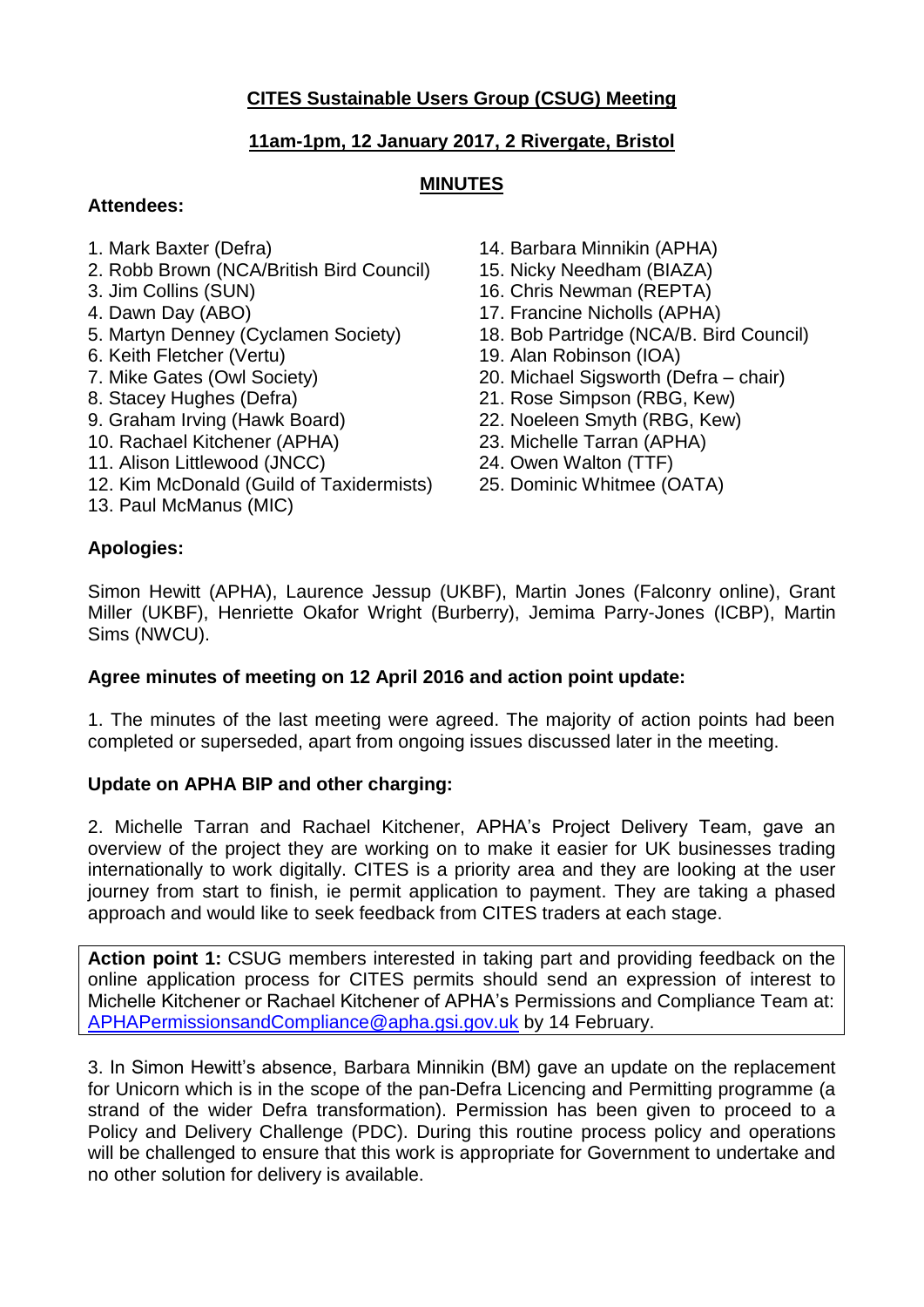# **CITES Sustainable Users Group (CSUG) Meeting**

## **11am-1pm, 12 January 2017, 2 Rivergate, Bristol**

## **MINUTES**

## **Attendees:**

- 
- 2. Robb Brown (NCA/British Bird Council) 15. Nicky Needham (BIAZA)
- 
- 
- 
- 
- 
- 
- 
- 10. Rachael Kitchener (APHA) 23. Michelle Tarran (APHA)
- 11. Alison Littlewood (JNCC) 24. Owen Walton (TTF)
- 12. Kim McDonald (Guild of Taxidermists) 25. Dominic Whitmee (OATA)
- 13. Paul McManus (MIC)
- 1. Mark Baxter (Defra) 14. Barbara Minnikin (APHA)
	-
- 3. Jim Collins (SUN) 16. Chris Newman (REPTA)
- 4. Dawn Day (ABO) 17. Francine Nicholls (APHA)
- 5. Martyn Denney (Cyclamen Society) 18. Bob Partridge (NCA/B. Bird Council)
- 6. Keith Fletcher (Vertu) 19. Alan Robinson (IOA)
- 7. Mike Gates (Owl Society) 20. Michael Sigsworth (Defra chair)
- 8. Stacey Hughes (Defra) 21. Rose Simpson (RBG, Kew)
- 9. Graham Irving (Hawk Board) 22. Noeleen Smyth (RBG, Kew)
	-
	-
	-

## **Apologies:**

Simon Hewitt (APHA), Laurence Jessup (UKBF), Martin Jones (Falconry online), Grant Miller (UKBF), Henriette Okafor Wright (Burberry), Jemima Parry-Jones (ICBP), Martin Sims (NWCU).

### **Agree minutes of meeting on 12 April 2016 and action point update:**

1. The minutes of the last meeting were agreed. The majority of action points had been completed or superseded, apart from ongoing issues discussed later in the meeting.

### **Update on APHA BIP and other charging:**

2. Michelle Tarran and Rachael Kitchener, APHA's Project Delivery Team, gave an overview of the project they are working on to make it easier for UK businesses trading internationally to work digitally. CITES is a priority area and they are looking at the user journey from start to finish, ie permit application to payment. They are taking a phased approach and would like to seek feedback from CITES traders at each stage.

**Action point 1:** CSUG members interested in taking part and providing feedback on the online application process for CITES permits should send an expression of interest to Michelle Kitchener or Rachael Kitchener of APHA's Permissions and Compliance Team at: [APHAPermissionsandCompliance@apha.gsi.gov.uk](mailto:APHAPermissionsandCompliance@apha.gsi.gov.uk) by 14 February.

3. In Simon Hewitt's absence, Barbara Minnikin (BM) gave an update on the replacement for Unicorn which is in the scope of the pan-Defra Licencing and Permitting programme (a strand of the wider Defra transformation). Permission has been given to proceed to a Policy and Delivery Challenge (PDC). During this routine process policy and operations will be challenged to ensure that this work is appropriate for Government to undertake and no other solution for delivery is available.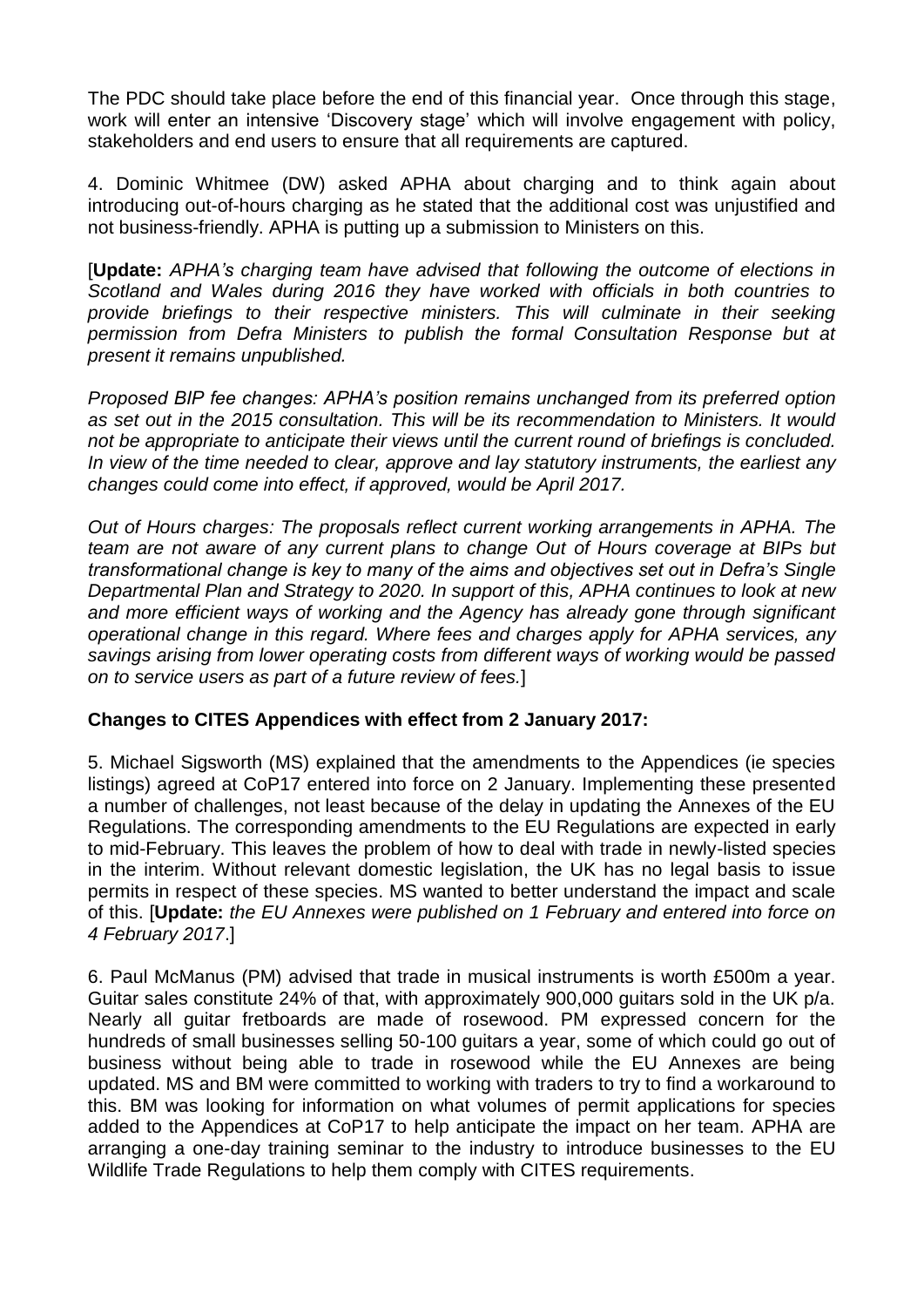The PDC should take place before the end of this financial year. Once through this stage, work will enter an intensive 'Discovery stage' which will involve engagement with policy, stakeholders and end users to ensure that all requirements are captured.

4. Dominic Whitmee (DW) asked APHA about charging and to think again about introducing out-of-hours charging as he stated that the additional cost was unjustified and not business-friendly. APHA is putting up a submission to Ministers on this.

[**Update:** *APHA's charging team have advised that following the outcome of elections in Scotland and Wales during 2016 they have worked with officials in both countries to provide briefings to their respective ministers. This will culminate in their seeking permission from Defra Ministers to publish the formal Consultation Response but at present it remains unpublished.* 

*Proposed BIP fee changes: APHA's position remains unchanged from its preferred option as set out in the 2015 consultation. This will be its recommendation to Ministers. It would not be appropriate to anticipate their views until the current round of briefings is concluded. In view of the time needed to clear, approve and lay statutory instruments, the earliest any changes could come into effect, if approved, would be April 2017.*

*Out of Hours charges: The proposals reflect current working arrangements in APHA. The team are not aware of any current plans to change Out of Hours coverage at BIPs but transformational change is key to many of the aims and objectives set out in Defra's Single Departmental Plan and Strategy to 2020. In support of this, APHA continues to look at new and more efficient ways of working and the Agency has already gone through significant operational change in this regard. Where fees and charges apply for APHA services, any savings arising from lower operating costs from different ways of working would be passed on to service users as part of a future review of fees.*]

### **Changes to CITES Appendices with effect from 2 January 2017:**

5. Michael Sigsworth (MS) explained that the amendments to the Appendices (ie species listings) agreed at CoP17 entered into force on 2 January. Implementing these presented a number of challenges, not least because of the delay in updating the Annexes of the EU Regulations. The corresponding amendments to the EU Regulations are expected in early to mid-February. This leaves the problem of how to deal with trade in newly-listed species in the interim. Without relevant domestic legislation, the UK has no legal basis to issue permits in respect of these species. MS wanted to better understand the impact and scale of this. [**Update:** *the EU Annexes were published on 1 February and entered into force on 4 February 2017*.]

6. Paul McManus (PM) advised that trade in musical instruments is worth £500m a year. Guitar sales constitute 24% of that, with approximately 900,000 guitars sold in the UK p/a. Nearly all guitar fretboards are made of rosewood. PM expressed concern for the hundreds of small businesses selling 50-100 guitars a year, some of which could go out of business without being able to trade in rosewood while the EU Annexes are being updated. MS and BM were committed to working with traders to try to find a workaround to this. BM was looking for information on what volumes of permit applications for species added to the Appendices at CoP17 to help anticipate the impact on her team. APHA are arranging a one-day training seminar to the industry to introduce businesses to the EU Wildlife Trade Regulations to help them comply with CITES requirements.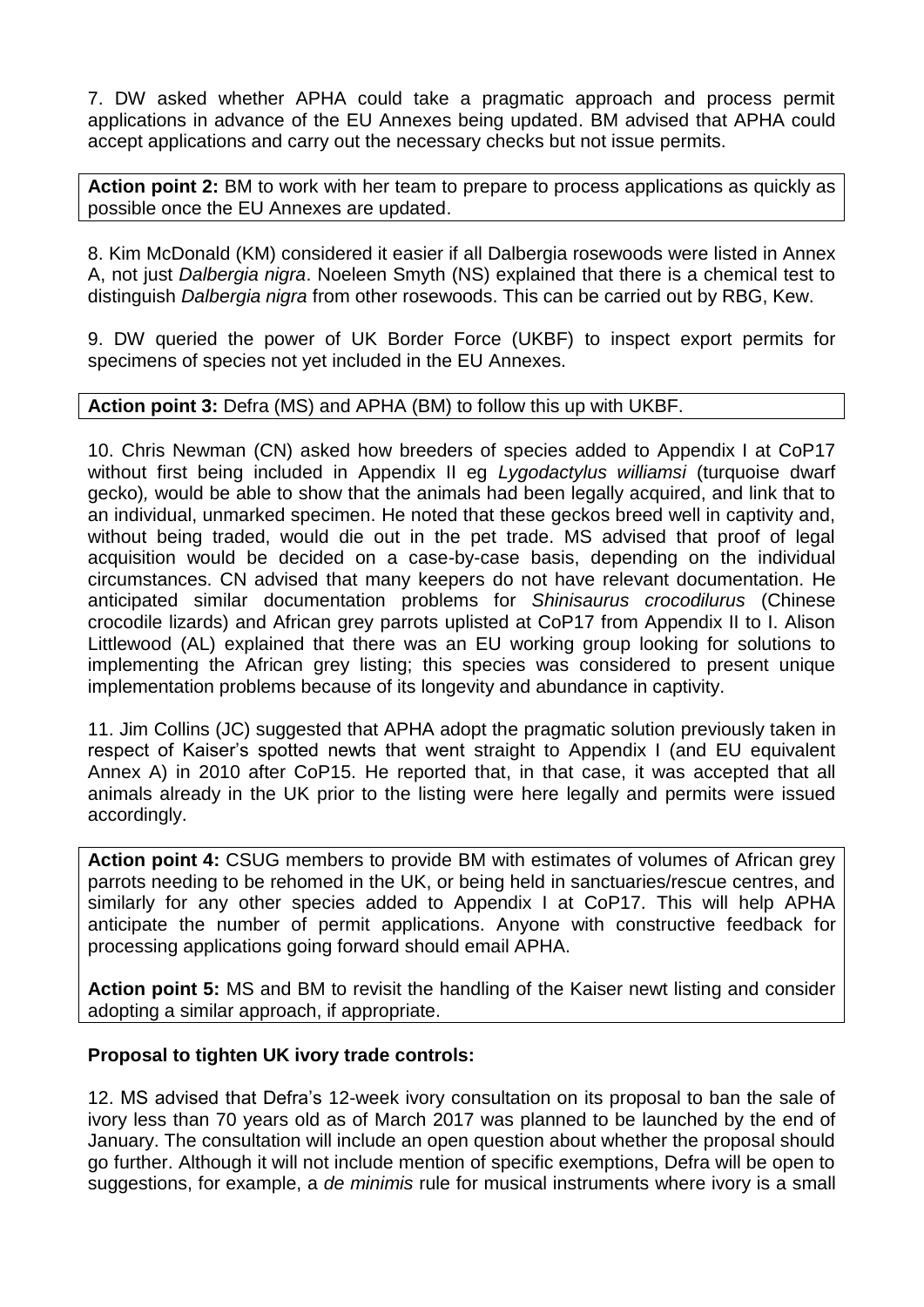7. DW asked whether APHA could take a pragmatic approach and process permit applications in advance of the EU Annexes being updated. BM advised that APHA could accept applications and carry out the necessary checks but not issue permits.

**Action point 2:** BM to work with her team to prepare to process applications as quickly as possible once the EU Annexes are updated.

8. Kim McDonald (KM) considered it easier if all Dalbergia rosewoods were listed in Annex A, not just *Dalbergia nigra*. Noeleen Smyth (NS) explained that there is a chemical test to distinguish *Dalbergia nigra* from other rosewoods. This can be carried out by RBG, Kew.

9. DW queried the power of UK Border Force (UKBF) to inspect export permits for specimens of species not yet included in the EU Annexes.

### **Action point 3:** Defra (MS) and APHA (BM) to follow this up with UKBF.

10. Chris Newman (CN) asked how breeders of species added to Appendix I at CoP17 without first being included in Appendix II eg *Lygodactylus williamsi* (turquoise dwarf gecko)*,* would be able to show that the animals had been legally acquired, and link that to an individual, unmarked specimen. He noted that these geckos breed well in captivity and, without being traded, would die out in the pet trade. MS advised that proof of legal acquisition would be decided on a case-by-case basis, depending on the individual circumstances. CN advised that many keepers do not have relevant documentation. He anticipated similar documentation problems for *Shinisaurus crocodilurus* (Chinese crocodile lizards) and African grey parrots uplisted at CoP17 from Appendix II to I. Alison Littlewood (AL) explained that there was an EU working group looking for solutions to implementing the African grey listing; this species was considered to present unique implementation problems because of its longevity and abundance in captivity.

11. Jim Collins (JC) suggested that APHA adopt the pragmatic solution previously taken in respect of Kaiser's spotted newts that went straight to Appendix I (and EU equivalent Annex A) in 2010 after CoP15. He reported that, in that case, it was accepted that all animals already in the UK prior to the listing were here legally and permits were issued accordingly.

**Action point 4:** CSUG members to provide BM with estimates of volumes of African grey parrots needing to be rehomed in the UK, or being held in sanctuaries/rescue centres, and similarly for any other species added to Appendix I at CoP17. This will help APHA anticipate the number of permit applications. Anyone with constructive feedback for processing applications going forward should email APHA.

**Action point 5:** MS and BM to revisit the handling of the Kaiser newt listing and consider adopting a similar approach, if appropriate.

### **Proposal to tighten UK ivory trade controls:**

12. MS advised that Defra's 12-week ivory consultation on its proposal to ban the sale of ivory less than 70 years old as of March 2017 was planned to be launched by the end of January. The consultation will include an open question about whether the proposal should go further. Although it will not include mention of specific exemptions, Defra will be open to suggestions, for example, a *de minimis* rule for musical instruments where ivory is a small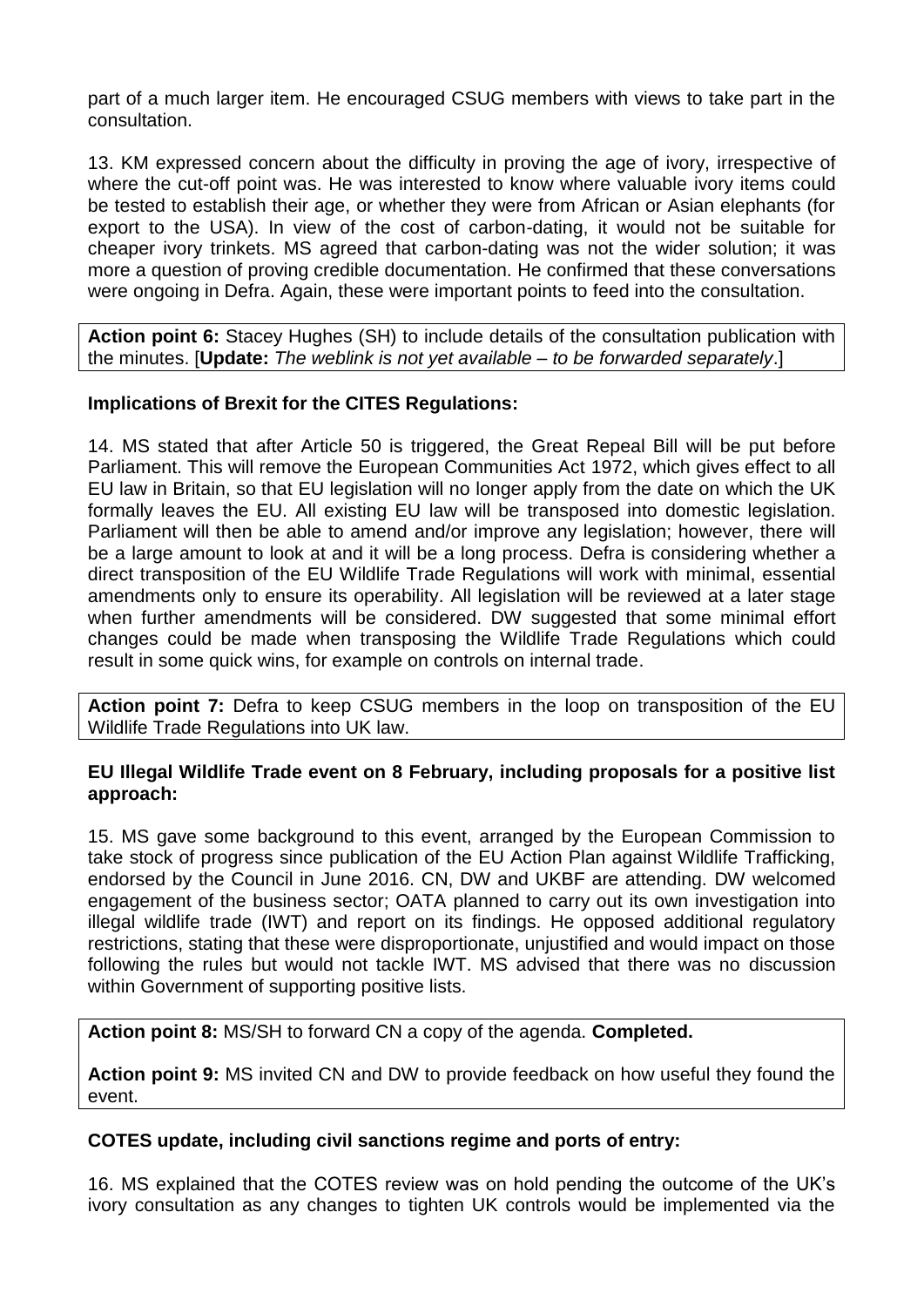part of a much larger item. He encouraged CSUG members with views to take part in the consultation.

13. KM expressed concern about the difficulty in proving the age of ivory, irrespective of where the cut-off point was. He was interested to know where valuable ivory items could be tested to establish their age, or whether they were from African or Asian elephants (for export to the USA). In view of the cost of carbon-dating, it would not be suitable for cheaper ivory trinkets. MS agreed that carbon-dating was not the wider solution; it was more a question of proving credible documentation. He confirmed that these conversations were ongoing in Defra. Again, these were important points to feed into the consultation.

**Action point 6:** Stacey Hughes (SH) to include details of the consultation publication with the minutes. [**Update:** *The weblink is not yet available – to be forwarded separately*.]

## **Implications of Brexit for the CITES Regulations:**

14. MS stated that after Article 50 is triggered, the Great Repeal Bill will be put before Parliament. This will remove the European Communities Act 1972, which gives effect to all EU law in Britain, so that EU legislation will no longer apply from the date on which the UK formally leaves the EU. All existing EU law will be transposed into domestic legislation. Parliament will then be able to amend and/or improve any legislation; however, there will be a large amount to look at and it will be a long process. Defra is considering whether a direct transposition of the EU Wildlife Trade Regulations will work with minimal, essential amendments only to ensure its operability. All legislation will be reviewed at a later stage when further amendments will be considered. DW suggested that some minimal effort changes could be made when transposing the Wildlife Trade Regulations which could result in some quick wins, for example on controls on internal trade.

**Action point 7:** Defra to keep CSUG members in the loop on transposition of the EU Wildlife Trade Regulations into UK law.

### **EU Illegal Wildlife Trade event on 8 February, including proposals for a positive list approach:**

15. MS gave some background to this event, arranged by the European Commission to take stock of progress since publication of the EU Action Plan against Wildlife Trafficking, endorsed by the Council in June 2016. CN, DW and UKBF are attending. DW welcomed engagement of the business sector; OATA planned to carry out its own investigation into illegal wildlife trade (IWT) and report on its findings. He opposed additional regulatory restrictions, stating that these were disproportionate, unjustified and would impact on those following the rules but would not tackle IWT. MS advised that there was no discussion within Government of supporting positive lists.

### **Action point 8:** MS/SH to forward CN a copy of the agenda. **Completed.**

**Action point 9:** MS invited CN and DW to provide feedback on how useful they found the event.

### **COTES update, including civil sanctions regime and ports of entry:**

16. MS explained that the COTES review was on hold pending the outcome of the UK's ivory consultation as any changes to tighten UK controls would be implemented via the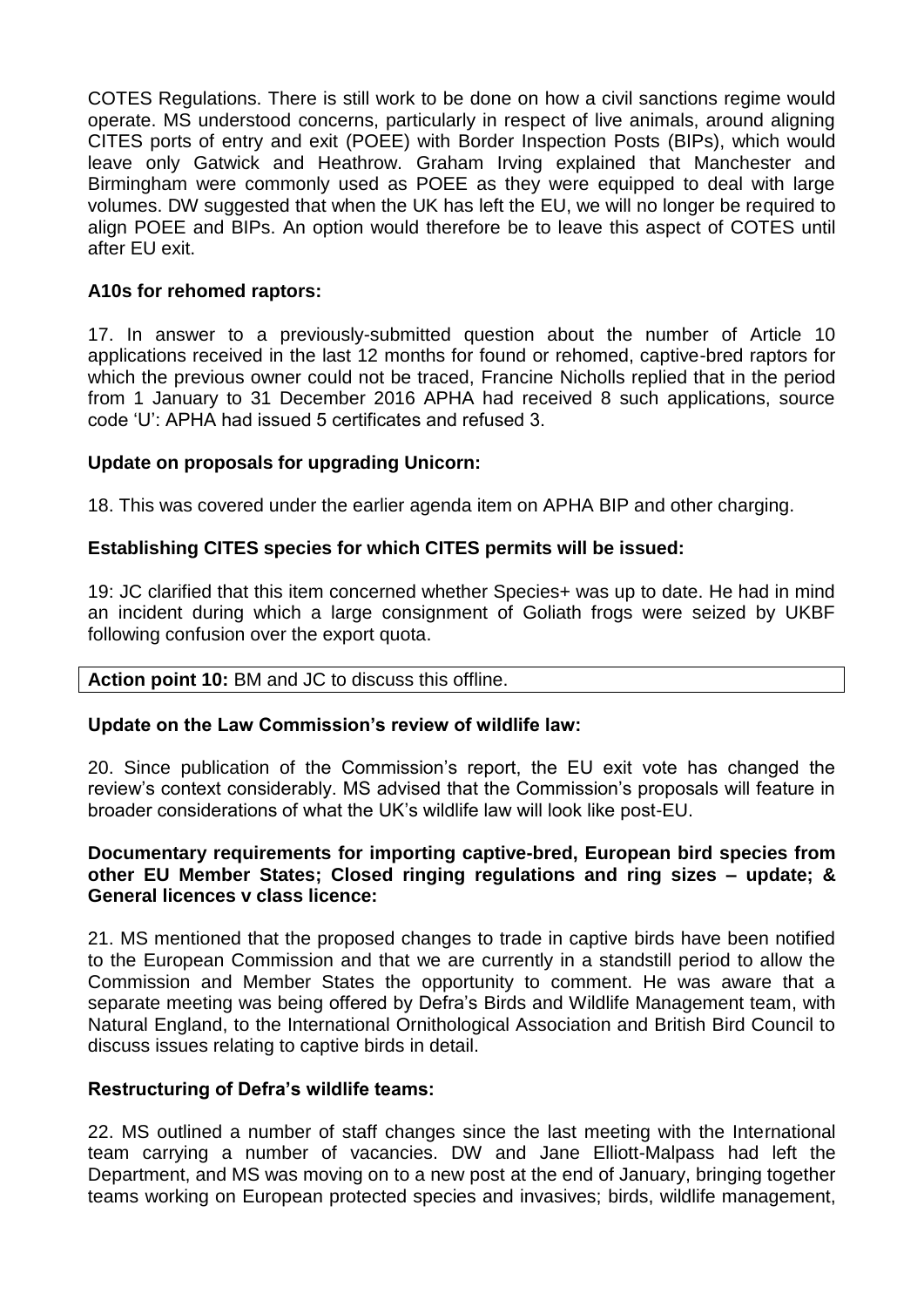COTES Regulations. There is still work to be done on how a civil sanctions regime would operate. MS understood concerns, particularly in respect of live animals, around aligning CITES ports of entry and exit (POEE) with Border Inspection Posts (BIPs), which would leave only Gatwick and Heathrow. Graham Irving explained that Manchester and Birmingham were commonly used as POEE as they were equipped to deal with large volumes. DW suggested that when the UK has left the EU, we will no longer be required to align POEE and BIPs. An option would therefore be to leave this aspect of COTES until after EU exit.

## **A10s for rehomed raptors:**

17. In answer to a previously-submitted question about the number of Article 10 applications received in the last 12 months for found or rehomed, captive-bred raptors for which the previous owner could not be traced, Francine Nicholls replied that in the period from 1 January to 31 December 2016 APHA had received 8 such applications, source code 'U': APHA had issued 5 certificates and refused 3.

## **Update on proposals for upgrading Unicorn:**

18. This was covered under the earlier agenda item on APHA BIP and other charging.

## **Establishing CITES species for which CITES permits will be issued:**

19: JC clarified that this item concerned whether Species+ was up to date. He had in mind an incident during which a large consignment of Goliath frogs were seized by UKBF following confusion over the export quota.

### **Action point 10:** BM and JC to discuss this offline.

### **Update on the Law Commission's review of wildlife law:**

20. Since publication of the Commission's report, the EU exit vote has changed the review's context considerably. MS advised that the Commission's proposals will feature in broader considerations of what the UK's wildlife law will look like post-EU.

#### **Documentary requirements for importing captive-bred, European bird species from other EU Member States; Closed ringing regulations and ring sizes – update; & General licences v class licence:**

21. MS mentioned that the proposed changes to trade in captive birds have been notified to the European Commission and that we are currently in a standstill period to allow the Commission and Member States the opportunity to comment. He was aware that a separate meeting was being offered by Defra's Birds and Wildlife Management team, with Natural England, to the International Ornithological Association and British Bird Council to discuss issues relating to captive birds in detail.

### **Restructuring of Defra's wildlife teams:**

22. MS outlined a number of staff changes since the last meeting with the International team carrying a number of vacancies. DW and Jane Elliott-Malpass had left the Department, and MS was moving on to a new post at the end of January, bringing together teams working on European protected species and invasives; birds, wildlife management,